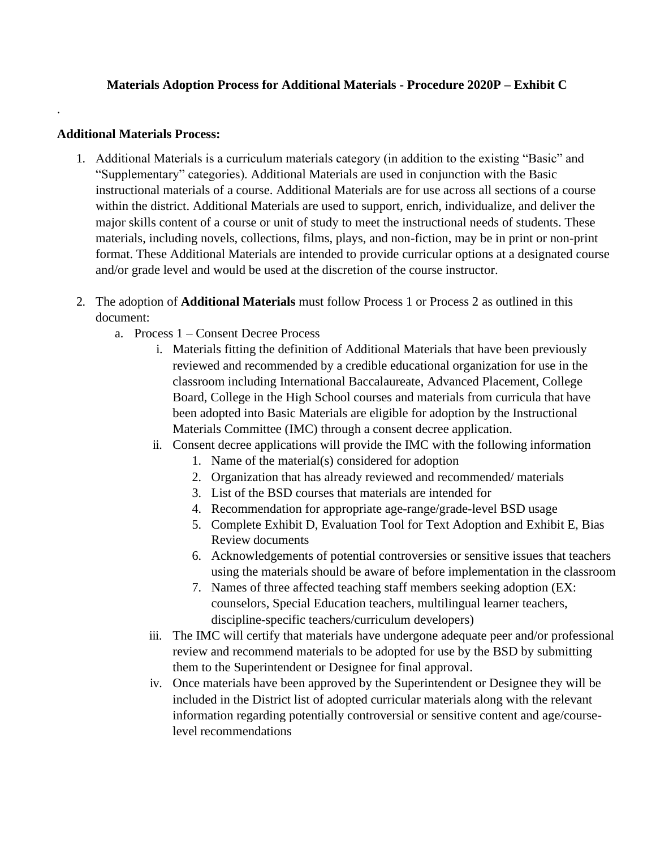## **Additional Materials Process:**

.

- 1. Additional Materials is a curriculum materials category (in addition to the existing "Basic" and "Supplementary" categories). Additional Materials are used in conjunction with the Basic instructional materials of a course. Additional Materials are for use across all sections of a course within the district. Additional Materials are used to support, enrich, individualize, and deliver the major skills content of a course or unit of study to meet the instructional needs of students. These materials, including novels, collections, films, plays, and non-fiction, may be in print or non-print format. These Additional Materials are intended to provide curricular options at a designated course and/or grade level and would be used at the discretion of the course instructor.
- 2. The adoption of **Additional Materials** must follow Process 1 or Process 2 as outlined in this document:
	- a. Process 1 Consent Decree Process
		- i. Materials fitting the definition of Additional Materials that have been previously reviewed and recommended by a credible educational organization for use in the classroom including International Baccalaureate, Advanced Placement, College Board, College in the High School courses and materials from curricula that have been adopted into Basic Materials are eligible for adoption by the Instructional Materials Committee (IMC) through a consent decree application.
		- ii. Consent decree applications will provide the IMC with the following information
			- 1. Name of the material(s) considered for adoption
			- 2. Organization that has already reviewed and recommended/ materials
			- 3. List of the BSD courses that materials are intended for
			- 4. Recommendation for appropriate age-range/grade-level BSD usage
			- 5. Complete Exhibit D, Evaluation Tool for Text Adoption and Exhibit E, Bias Review documents
			- 6. Acknowledgements of potential controversies or sensitive issues that teachers using the materials should be aware of before implementation in the classroom
			- 7. Names of three affected teaching staff members seeking adoption (EX: counselors, Special Education teachers, multilingual learner teachers, discipline-specific teachers/curriculum developers)
		- iii. The IMC will certify that materials have undergone adequate peer and/or professional review and recommend materials to be adopted for use by the BSD by submitting them to the Superintendent or Designee for final approval.
		- iv. Once materials have been approved by the Superintendent or Designee they will be included in the District list of adopted curricular materials along with the relevant information regarding potentially controversial or sensitive content and age/courselevel recommendations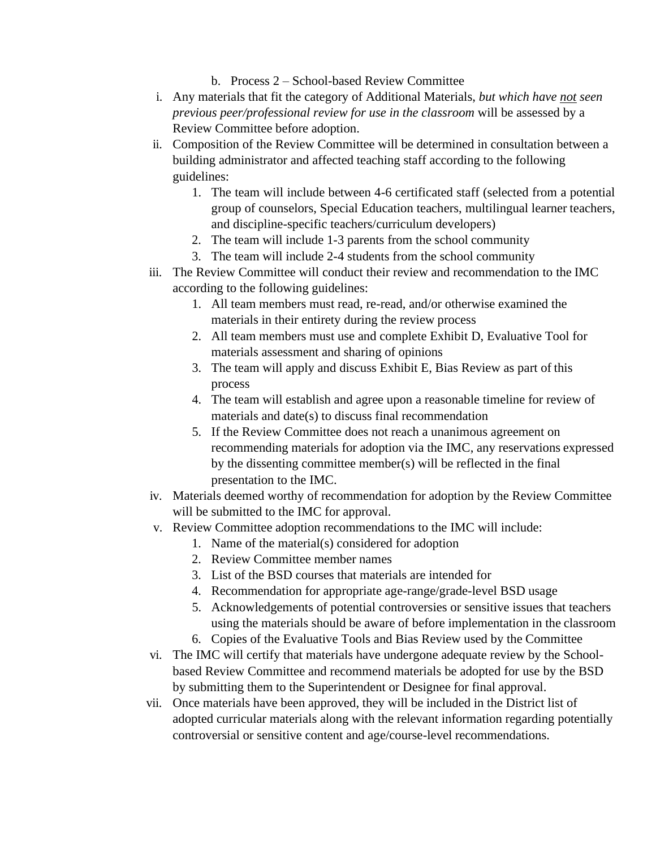- b. Process 2 School-based Review Committee
- i. Any materials that fit the category of Additional Materials, *but which have not seen previous peer/professional review for use in the classroom* will be assessed by a Review Committee before adoption.
- ii. Composition of the Review Committee will be determined in consultation between a building administrator and affected teaching staff according to the following guidelines:
	- 1. The team will include between 4-6 certificated staff (selected from a potential group of counselors, Special Education teachers, multilingual learner teachers, and discipline-specific teachers/curriculum developers)
	- 2. The team will include 1-3 parents from the school community
	- 3. The team will include 2-4 students from the school community
- iii. The Review Committee will conduct their review and recommendation to the IMC according to the following guidelines:
	- 1. All team members must read, re-read, and/or otherwise examined the materials in their entirety during the review process
	- 2. All team members must use and complete Exhibit D, Evaluative Tool for materials assessment and sharing of opinions
	- 3. The team will apply and discuss Exhibit E, Bias Review as part of this process
	- 4. The team will establish and agree upon a reasonable timeline for review of materials and date(s) to discuss final recommendation
	- 5. If the Review Committee does not reach a unanimous agreement on recommending materials for adoption via the IMC, any reservations expressed by the dissenting committee member(s) will be reflected in the final presentation to the IMC.
- iv. Materials deemed worthy of recommendation for adoption by the Review Committee will be submitted to the IMC for approval.
- v. Review Committee adoption recommendations to the IMC will include:
	- 1. Name of the material(s) considered for adoption
		- 2. Review Committee member names
		- 3. List of the BSD courses that materials are intended for
		- 4. Recommendation for appropriate age-range/grade-level BSD usage
		- 5. Acknowledgements of potential controversies or sensitive issues that teachers using the materials should be aware of before implementation in the classroom
		- 6. Copies of the Evaluative Tools and Bias Review used by the Committee
- vi. The IMC will certify that materials have undergone adequate review by the Schoolbased Review Committee and recommend materials be adopted for use by the BSD by submitting them to the Superintendent or Designee for final approval.
- vii. Once materials have been approved, they will be included in the District list of adopted curricular materials along with the relevant information regarding potentially controversial or sensitive content and age/course-level recommendations.